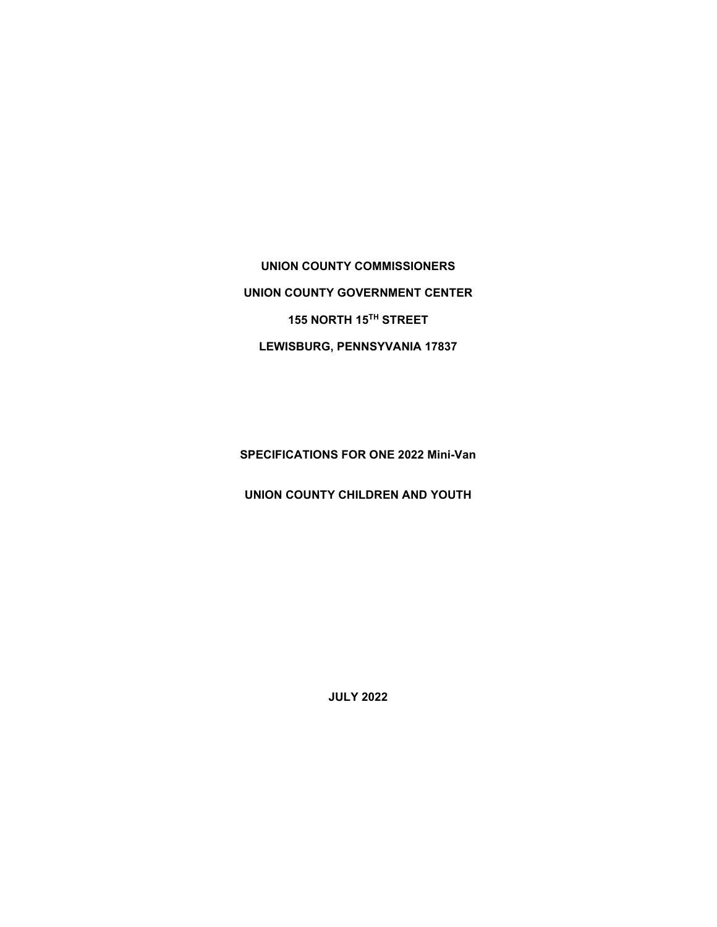**UNION COUNTY COMMISSIONERS UNION COUNTY GOVERNMENT CENTER 155 NORTH 15TH STREET LEWISBURG, PENNSYVANIA 17837** 

**SPECIFICATIONS FOR ONE 2022 Mini-Van**

**UNION COUNTY CHILDREN AND YOUTH** 

**JULY 2022**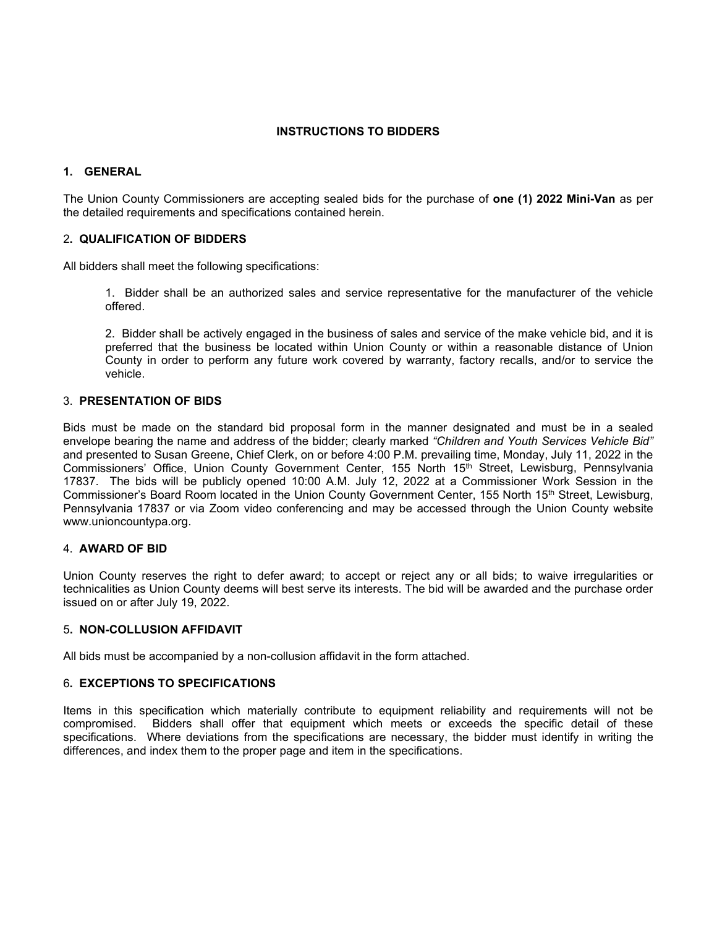### **INSTRUCTIONS TO BIDDERS**

# **1. GENERAL**

The Union County Commissioners are accepting sealed bids for the purchase of **one (1) 2022 Mini-Van** as per the detailed requirements and specifications contained herein.

# 2**. QUALIFICATION OF BIDDERS**

All bidders shall meet the following specifications:

1. Bidder shall be an authorized sales and service representative for the manufacturer of the vehicle offered.

2. Bidder shall be actively engaged in the business of sales and service of the make vehicle bid, and it is preferred that the business be located within Union County or within a reasonable distance of Union County in order to perform any future work covered by warranty, factory recalls, and/or to service the vehicle.

### 3. **PRESENTATION OF BIDS**

Bids must be made on the standard bid proposal form in the manner designated and must be in a sealed envelope bearing the name and address of the bidder; clearly marked *"Children and Youth Services Vehicle Bid"* and presented to Susan Greene, Chief Clerk, on or before 4:00 P.M. prevailing time, Monday, July 11, 2022 in the Commissioners' Office, Union County Government Center, 155 North 15th Street, Lewisburg, Pennsylvania 17837. The bids will be publicly opened 10:00 A.M. July 12, 2022 at a Commissioner Work Session in the Commissioner's Board Room located in the Union County Government Center, 155 North 15th Street, Lewisburg, Pennsylvania 17837 or via Zoom video conferencing and may be accessed through the Union County website www.unioncountypa.org.

### 4. **AWARD OF BID**

Union County reserves the right to defer award; to accept or reject any or all bids; to waive irregularities or technicalities as Union County deems will best serve its interests. The bid will be awarded and the purchase order issued on or after July 19, 2022.

#### 5**. NON-COLLUSION AFFIDAVIT**

All bids must be accompanied by a non-collusion affidavit in the form attached.

### 6**. EXCEPTIONS TO SPECIFICATIONS**

Items in this specification which materially contribute to equipment reliability and requirements will not be compromised. Bidders shall offer that equipment which meets or exceeds the specific detail of these specifications. Where deviations from the specifications are necessary, the bidder must identify in writing the differences, and index them to the proper page and item in the specifications.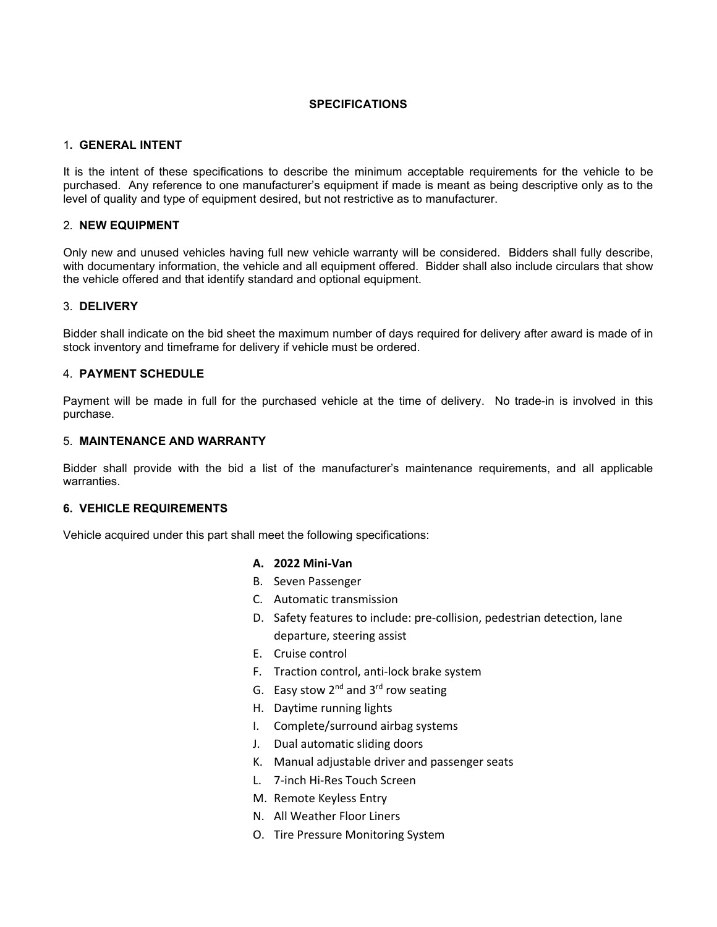### **SPECIFICATIONS**

### 1**. GENERAL INTENT**

It is the intent of these specifications to describe the minimum acceptable requirements for the vehicle to be purchased. Any reference to one manufacturer's equipment if made is meant as being descriptive only as to the level of quality and type of equipment desired, but not restrictive as to manufacturer.

### 2. **NEW EQUIPMENT**

Only new and unused vehicles having full new vehicle warranty will be considered. Bidders shall fully describe, with documentary information, the vehicle and all equipment offered. Bidder shall also include circulars that show the vehicle offered and that identify standard and optional equipment.

#### 3. **DELIVERY**

Bidder shall indicate on the bid sheet the maximum number of days required for delivery after award is made of in stock inventory and timeframe for delivery if vehicle must be ordered.

#### 4. **PAYMENT SCHEDULE**

Payment will be made in full for the purchased vehicle at the time of delivery. No trade-in is involved in this purchase.

#### 5. **MAINTENANCE AND WARRANTY**

Bidder shall provide with the bid a list of the manufacturer's maintenance requirements, and all applicable warranties.

### **6. VEHICLE REQUIREMENTS**

Vehicle acquired under this part shall meet the following specifications:

#### **A. 2022 Mini-Van**

- B. Seven Passenger
- C. Automatic transmission
- D. Safety features to include: pre-collision, pedestrian detection, lane departure, steering assist
- E. Cruise control
- F. Traction control, anti-lock brake system
- G. Easy stow  $2^{nd}$  and  $3^{rd}$  row seating
- H. Daytime running lights
- I. Complete/surround airbag systems
- J. Dual automatic sliding doors
- K. Manual adjustable driver and passenger seats
- L. 7-inch Hi-Res Touch Screen
- M. Remote Keyless Entry
- N. All Weather Floor Liners
- O. Tire Pressure Monitoring System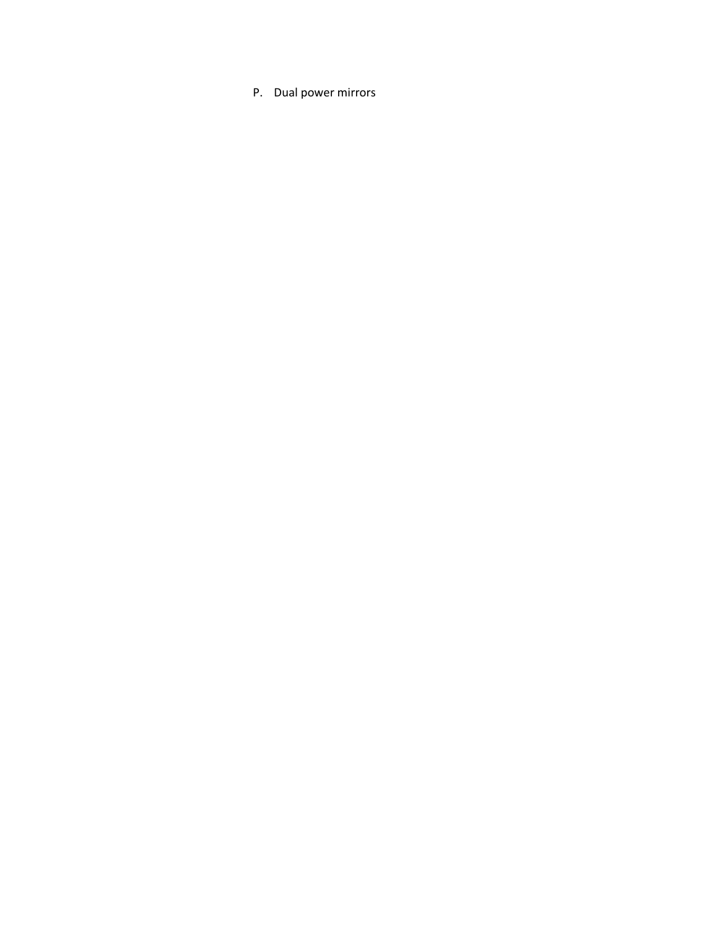P. Dual power mirrors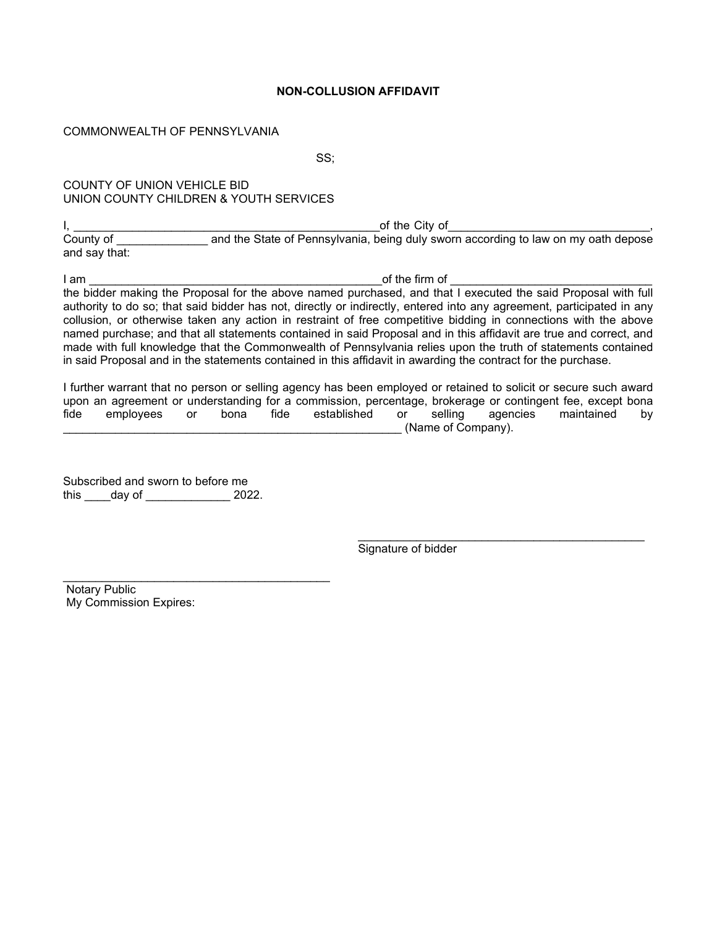### **NON-COLLUSION AFFIDAVIT**

### COMMONWEALTH OF PENNSYLVANIA

SS;

# COUNTY OF UNION VEHICLE BID UNION COUNTY CHILDREN & YOUTH SERVICES

I, \_\_\_\_\_\_\_\_\_\_\_\_\_\_\_\_\_\_\_\_\_\_\_\_\_\_\_\_\_\_\_\_\_\_\_\_\_\_\_\_\_\_\_\_\_\_\_of the City of\_\_\_\_\_\_\_\_\_\_\_\_\_\_\_\_\_\_\_\_\_\_\_\_\_\_\_\_\_\_\_, County of \_\_\_\_\_\_\_\_\_\_\_\_\_\_ and the State of Pennsylvania, being duly sworn according to law on my oath depose and say that:

I am \_\_\_\_\_\_\_\_\_\_\_\_\_\_\_\_\_\_\_\_\_\_\_\_\_\_\_\_\_\_\_\_\_\_\_\_\_\_\_\_\_\_\_\_\_of the firm of \_\_\_\_\_\_\_\_\_\_\_\_\_\_\_\_\_\_\_\_\_\_\_\_\_\_\_\_\_\_\_ the bidder making the Proposal for the above named purchased, and that I executed the said Proposal with full authority to do so; that said bidder has not, directly or indirectly, entered into any agreement, participated in any collusion, or otherwise taken any action in restraint of free competitive bidding in connections with the above named purchase; and that all statements contained in said Proposal and in this affidavit are true and correct, and made with full knowledge that the Commonwealth of Pennsylvania relies upon the truth of statements contained in said Proposal and in the statements contained in this affidavit in awarding the contract for the purchase.

I further warrant that no person or selling agency has been employed or retained to solicit or secure such award upon an agreement or understanding for a commission, percentage, brokerage or contingent fee, except bona fide employees or bona fide established or selling agencies maintained by (Name of Company).

Subscribed and sworn to before me this \_\_\_\_day of \_\_\_\_\_\_\_\_\_\_\_\_\_ 2022.

\_\_\_\_\_\_\_\_\_\_\_\_\_\_\_\_\_\_\_\_\_\_\_\_\_\_\_\_\_\_\_\_\_\_\_\_\_\_\_\_\_

\_\_\_\_\_\_\_\_\_\_\_\_\_\_\_\_\_\_\_\_\_\_\_\_\_\_\_\_\_\_\_\_\_\_\_\_\_\_\_\_\_\_\_\_ Signature of bidder

Notary Public My Commission Expires: